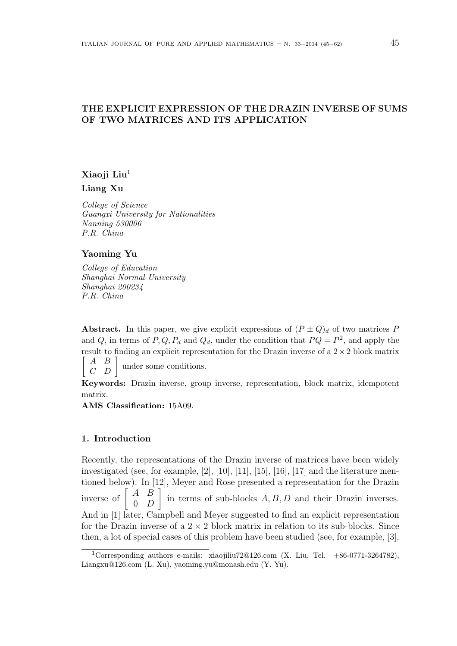# THE EXPLICIT EXPRESSION OF THE DRAZIN INVERSE OF SUMS OF TWO MATRICES AND ITS APPLICATION

### Xiaoji Liu<sup>1</sup>

Liang Xu

College of Science Guangxi University for Nationalities Nanning 530006 P.R. China

#### Yaoming Yu

College of Education Shanghai Normal University Shanghai 200234 P.R. China

Abstract. In this paper, we give explicit expressions of  $(P \pm Q)<sub>d</sub>$  of two matrices P and Q, in terms of P, Q,  $P_d$  and  $Q_d$ , under the condition that  $PQ = P^2$ , and apply the result to finding an explicit representation for the Drazin inverse of a  $2 \times 2$  block matrix

A B  $\begin{array}{ccc} \mid & C & D \end{array}$ under some conditions.

Keywords: Drazin inverse, group inverse, representation, block matrix, idempotent matrix.

AMS Classification: 15A09.

#### 1. Introduction

Recently, the representations of the Drazin inverse of matrices have been widely investigated (see, for example, [2], [10], [11], [15], [16], [17] and the literature mentioned below). In [12], Meyer and Rose presented a representation for the Drazin tioned below). In  $\begin{bmatrix} 1 & D \\ 0 & D \end{bmatrix}$  in terms of sub-blocks  $A, B, D$  and their Drazin inverses. And in [1] later, Campbell and Meyer suggested to find an explicit representation for the Drazin inverse of a  $2 \times 2$  block matrix in relation to its sub-blocks. Since then, a lot of special cases of this problem have been studied (see, for example, [3],

<sup>1</sup>Corresponding authors e-mails: xiaojiliu72@126.com (X. Liu, Tel. +86-0771-3264782), Liangxu@126.com (L. Xu), yaoming.yu@monash.edu (Y. Yu).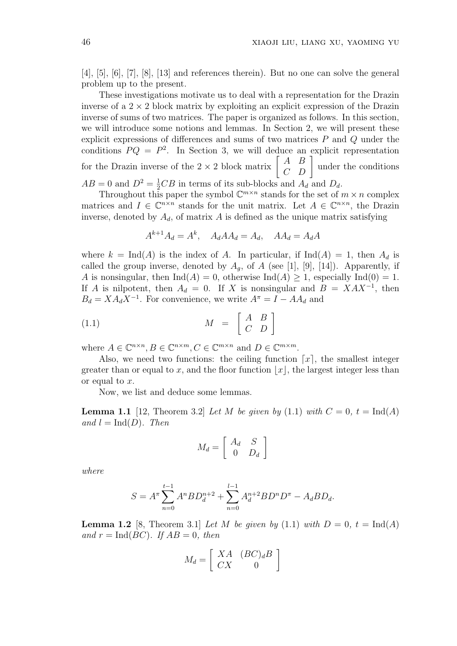[4], [5], [6], [7], [8], [13] and references therein). But no one can solve the general problem up to the present.

These investigations motivate us to deal with a representation for the Drazin inverse of a  $2 \times 2$  block matrix by exploiting an explicit expression of the Drazin inverse of sums of two matrices. The paper is organized as follows. In this section, we will introduce some notions and lemmas. In Section 2, we will present these explicit expressions of differences and sums of two matrices P and Q under the conditions  $PQ = P^2$ . In Section 3, we will deduce an explicit representation conditions  $PQ = P^2$ . In Section 3, we will deduce an for the Drazin inverse of the  $2 \times 2$  block matrix  $\begin{bmatrix} A & B \\ C & D \end{bmatrix}$  $\begin{bmatrix} A & B \\ C & D \end{bmatrix}$  under the conditions  $AB = 0$  and  $D^2 = \frac{1}{2}CB$  in terms of its sub-blocks and  $A_d$  and  $D_d$ .

Throughout this paper the symbol  $\mathbb{C}^{m \times n}$  stands for the set of  $m \times n$  complex matrices and  $I \in \mathbb{C}^{n \times n}$  stands for the unit matrix. Let  $A \in \mathbb{C}^{n \times n}$ , the Drazin inverse, denoted by  $A_d$ , of matrix A is defined as the unique matrix satisfying

$$
A^{k+1}A_d = A^k, \quad A_d A A_d = A_d, \quad A A_d = A_d A
$$

where  $k = \text{Ind}(A)$  is the index of A. In particular, if  $\text{Ind}(A) = 1$ , then  $A_d$  is called the group inverse, denoted by  $A_q$ , of A (see [1], [9], [14]). Apparently, if A is nonsingular, then  $\text{Ind}(A) = 0$ , otherwise  $\text{Ind}(A) \geq 1$ , especially  $\text{Ind}(0) = 1$ . If A is nilpotent, then  $A_d = 0$ . If X is nonsingular and  $B = XAX^{-1}$ , then  $B_d = X A_d X^{-1}$ . For convenience, we write  $A^{\pi} = I - A A_d$  and

$$
(1.1) \t\t M = \begin{bmatrix} A & B \\ C & D \end{bmatrix}
$$

where  $A \in \mathbb{C}^{n \times n}, B \in \mathbb{C}^{n \times m}, C \in \mathbb{C}^{m \times n}$  and  $D \in \mathbb{C}^{m \times m}$ .

Also, we need two functions: the ceiling function  $\lceil x \rceil$ , the smallest integer greater than or equal to x, and the floor function  $|x|$ , the largest integer less than or equal to  $x$ .

Now, we list and deduce some lemmas.

**Lemma 1.1** [12, Theorem 3.2] Let M be given by (1.1) with  $C = 0$ ,  $t = \text{Ind}(A)$ and  $l = \text{Ind}(D)$ . Then

$$
M_d = \left[ \begin{array}{cc} A_d & S \\ 0 & D_d \end{array} \right]
$$

where

$$
S = A^{\pi} \sum_{n=0}^{t-1} A^n B D_d^{n+2} + \sum_{n=0}^{l-1} A_d^{n+2} B D^n D^{\pi} - A_d B D_d.
$$

**Lemma 1.2** [8, Theorem 3.1] Let M be given by (1.1) with  $D = 0$ ,  $t = \text{Ind}(A)$ and  $r = \text{Ind}(BC)$ . If  $AB = 0$ , then

$$
M_d = \left[ \begin{array}{cc} XA & (BC)_dB \\ CX & 0 \end{array} \right]
$$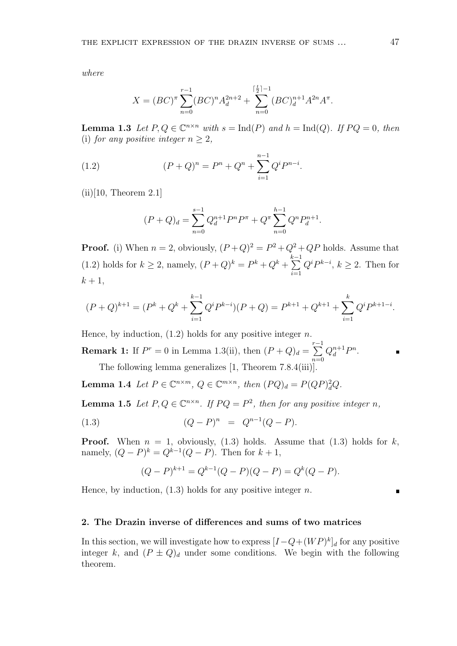where

$$
X = (BC)^{\pi} \sum_{n=0}^{r-1} (BC)^n A_d^{2n+2} + \sum_{n=0}^{\lceil \frac{t}{2} \rceil - 1} (BC)^{n+1} A^{2n} A^{\pi}.
$$

**Lemma 1.3** Let  $P, Q \in \mathbb{C}^{n \times n}$  with  $s = \text{Ind}(P)$  and  $h = \text{Ind}(Q)$ . If  $PQ = 0$ , then (i) for any positive integer  $n > 2$ ,

(1.2) 
$$
(P+Q)^n = P^n + Q^n + \sum_{i=1}^{n-1} Q^i P^{n-i}.
$$

 $(ii)[10, Theorem 2.1]$ 

$$
(P+Q)d = \sum_{n=0}^{s-1} Q_d^{n+1} P^n P^n + Q^{\pi} \sum_{n=0}^{h-1} Q^n P_d^{n+1}.
$$

**Proof.** (i) When  $n = 2$ , obviously,  $(P+Q)^2 = P^2 + Q^2 + QP$  holds. Assume that (1.2) holds for  $k \ge 2$ , namely,  $(P+Q)^k = P^k + Q^k + \sum_{k=1}^{k-1}$  $i=1$  $Q^{i}P^{k-i}, k \geq 2$ . Then for  $k+1$ ,

$$
(P+Q)^{k+1} = (P^k + Q^k + \sum_{i=1}^{k-1} Q^i P^{k-i})(P+Q) = P^{k+1} + Q^{k+1} + \sum_{i=1}^k Q^i P^{k+1-i}.
$$

Hence, by induction,  $(1.2)$  holds for any positive integer *n*.

**Remark 1:** If  $P^r = 0$  in Lemma 1.3(ii), then  $(P + Q)_d = \sum_{r=1}^{r-1}$  $n=0$  $Q_d^{n+1}P^n$ .

The following lemma generalizes [1, Theorem 7.8.4(iii)].

**Lemma 1.4** Let  $P \in \mathbb{C}^{n \times m}$ ,  $Q \in \mathbb{C}^{m \times n}$ , then  $(PQ)_d = P(QP)_d^2Q$ .

**Lemma 1.5** Let  $P, Q \in \mathbb{C}^{n \times n}$ . If  $PQ = P^2$ , then for any positive integer n,

(1.3) 
$$
(Q-P)^n = Q^{n-1}(Q-P).
$$

**Proof.** When  $n = 1$ , obviously, (1.3) holds. Assume that (1.3) holds for k, namely,  $(Q - P)^k = Q^{k-1}(Q - P)$ . Then for  $k + 1$ ,

$$
(Q - P)^{k+1} = Q^{k-1}(Q - P)(Q - P) = Q^{k}(Q - P).
$$

Hence, by induction,  $(1.3)$  holds for any positive integer n.

## 2. The Drazin inverse of differences and sums of two matrices

In this section, we will investigate how to express  $[I - Q + (WP)^k]_d$  for any positive integer k, and  $(P \pm Q)<sub>d</sub>$  under some conditions. We begin with the following theorem.

 $\blacksquare$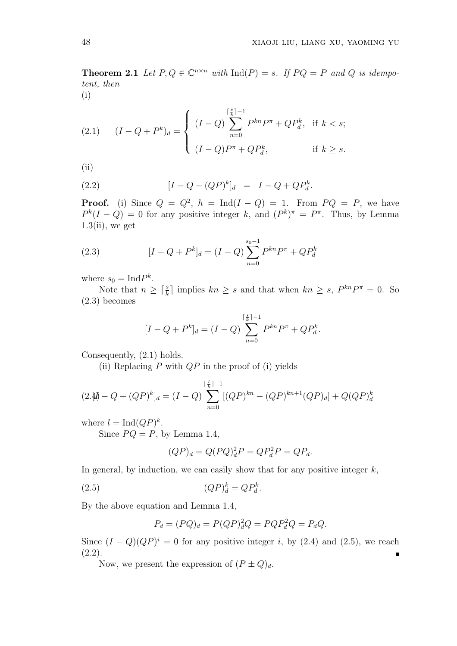**Theorem 2.1** Let  $P, Q \in \mathbb{C}^{n \times n}$  with  $\text{Ind}(P) = s$ . If  $PQ = P$  and Q is idempotent, then

(i)

(2.1) 
$$
(I - Q + P^{k})_{d} = \begin{cases} (I - Q) \sum_{n=0}^{\lceil \frac{s}{k} \rceil - 1} P^{kn} P^{\pi} + Q P_{d}^{k}, & \text{if } k < s; \\ (I - Q) P^{\pi} + Q P_{d}^{k}, & \text{if } k \ge s. \end{cases}
$$

(ii)

(2.2) 
$$
[I - Q + (QP)^k]_d = I - Q + QP_d^k.
$$

**Proof.** (i) Since  $Q = Q^2$ ,  $h = Ind(I - Q) = 1$ . From  $PQ = P$ , we have  $P^{k}(I - Q) = 0$  for any positive integer k, and  $(P^{k})^{\pi} = P^{\pi}$ . Thus, by Lemma  $1.3$ (ii), we get

(2.3) 
$$
[I - Q + P^{k}]_{d} = (I - Q) \sum_{n=0}^{s_{0}-1} P^{kn} P^{\pi} + Q P_{d}^{k}
$$

where  $s_0 = \text{Ind} P^k$ .

Note that  $n \geq \lceil \frac{s}{k} \rceil$  implies  $kn \geq s$  and that when  $kn \geq s$ ,  $P^{kn}P^{\pi} = 0$ . So (2.3) becomes

$$
[I - Q + P^{k}]_{d} = (I - Q) \sum_{n=0}^{\lceil \frac{s}{k} \rceil - 1} P^{kn} P^{\pi} + Q P_{d}^{k}.
$$

Consequently, (2.1) holds.

(ii) Replacing  $P$  with  $QP$  in the proof of (i) yields

$$
(2.\mathcal{W}) - Q + (QP)^k]_d = (I - Q) \sum_{n=0}^{\lceil \frac{l}{k} \rceil - 1} [(QP)^{kn} - (QP)^{kn+1}(QP)_d] + Q(QP)^k_d
$$

where  $l = \text{Ind}(QP)^k$ .

Since  $PQ = P$ , by Lemma 1.4,

$$
(QP)_d = Q(PQ)_d^2 P = QP_d^2 P = QP_d.
$$

In general, by induction, we can easily show that for any positive integer  $k$ ,

$$
(2.5) \t\t (QP)_d^k = QP_d^k.
$$

By the above equation and Lemma 1.4,

$$
P_d = (PQ)_d = P(QP)_d^2 Q = PQP_d^2 Q = P_dQ.
$$

Since  $(I - Q)(QP)^i = 0$  for any positive integer i, by (2.4) and (2.5), we reach  $(2.2).$ 

Now, we present the expression of  $(P \pm Q)_d$ .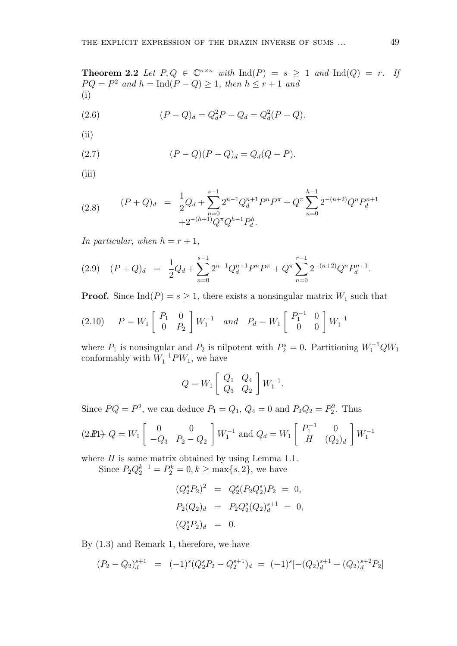**Theorem 2.2** Let  $P,Q \in \mathbb{C}^{n \times n}$  with  $\text{Ind}(P) = s \geq 1$  and  $\text{Ind}(Q) = r$ . If  $PQ = P^2$  and  $h = \text{Ind}(P - Q) \ge 1$ , then  $h \le r + 1$  and (i)

(2.6) 
$$
(P - Q)_d = Q_d^2 P - Q_d = Q_d^2 (P - Q).
$$

(ii)

(2.7) 
$$
(P - Q)(P - Q)_d = Q_d(Q - P).
$$

(iii)

(2.8) 
$$
(P+Q)_d = \frac{1}{2}Q_d + \sum_{n=0}^{s-1} 2^{n-1}Q_d^{n+1}P^nP^n + Q^{\pi} \sum_{n=0}^{h-1} 2^{-(n+2)}Q^nP_d^{n+1} + 2^{-(h+1)}Q^{\pi}Q^{h-1}P_d^h.
$$

In particular, when  $h = r + 1$ ,

$$
(2.9) \quad (P+Q)_d \ = \ \frac{1}{2}Q_d + \sum_{n=0}^{s-1} 2^{n-1}Q_d^{n+1}P^nP^n + Q^{\pi} \sum_{n=0}^{r-1} 2^{-(n+2)}Q^nP_d^{n+1}.
$$

**Proof.** Since Ind(P) =  $s \ge 1$ , there exists a nonsingular matrix  $W_1$  such that

(2.10) 
$$
P = W_1 \begin{bmatrix} P_1 & 0 \ 0 & P_2 \end{bmatrix} W_1^{-1}
$$
 and  $P_d = W_1 \begin{bmatrix} P_1^{-1} & 0 \ 0 & 0 \end{bmatrix} W_1^{-1}$ 

where  $P_1$  is nonsingular and  $P_2$  is nilpotent with  $P_2^s = 0$ . Partitioning  $W_1^{-1}QW_1$ conformably with  $W_1^{-1}PW_1$ , we have

$$
Q = W_1 \begin{bmatrix} Q_1 & Q_4 \ Q_3 & Q_2 \end{bmatrix} W_1^{-1}.
$$

Since  $PQ = P^2$ , we can deduce  $P_1 = Q_1$ ,  $Q_4 = 0$  and  $P_2Q_2 = P_2^2$ . Thus

$$
(2\mathbf{I}P) \cdot Q = W_1 \begin{bmatrix} 0 & 0 \\ -Q_3 & P_2 - Q_2 \end{bmatrix} W_1^{-1} \text{ and } Q_d = W_1 \begin{bmatrix} P_1^{-1} & 0 \\ H & (Q_2)_d \end{bmatrix} W_1^{-1}
$$

where  $H$  is some matrix obtained by using Lemma 1.1.

Since  $P_2 Q_2^{k-1} = P_2^k = 0, k \ge \max\{s, 2\}$ , we have

$$
(Q_2^s P_2)^2 = Q_2^s (P_2 Q_2^s) P_2 = 0,
$$
  
\n
$$
P_2(Q_2)_d = P_2 Q_2^s (Q_2)_d^{s+1} = 0,
$$
  
\n
$$
(Q_2^s P_2)_d = 0.
$$

By (1.3) and Remark 1, therefore, we have

$$
(P_2 - Q_2)_d^{s+1} = (-1)^s (Q_2^s P_2 - Q_2^{s+1})_d = (-1)^s [-(Q_2)_d^{s+1} + (Q_2)_d^{s+2} P_2]
$$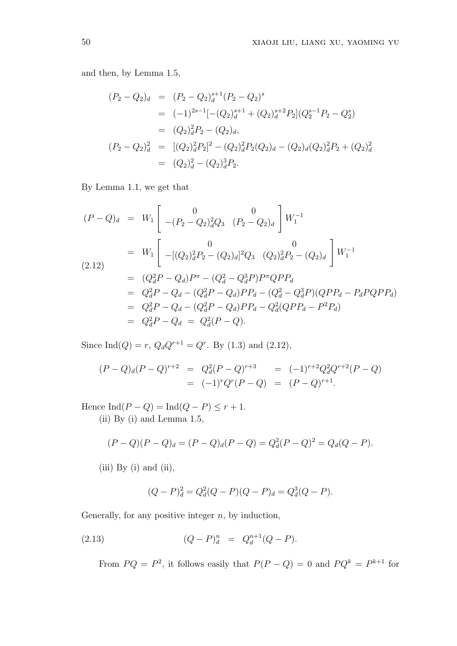and then, by Lemma 1.5,

$$
(P_2 - Q_2)_d = (P_2 - Q_2)_d^{s+1} (P_2 - Q_2)^s
$$
  
\n
$$
= (-1)^{2s-1} [-(Q_2)_d^{s+1} + (Q_2)_d^{s+2} P_2] (Q_2^{s-1} P_2 - Q_2^s)
$$
  
\n
$$
= (Q_2)_d^2 P_2 - (Q_2)_d,
$$
  
\n
$$
(P_2 - Q_2)_d^2 = [(Q_2)_d^2 P_2]^2 - (Q_2)_d^2 P_2 (Q_2)_d - (Q_2)_d (Q_2)_d^2 P_2 + (Q_2)_d^2
$$
  
\n
$$
= (Q_2)_d^2 - (Q_2)_d^3 P_2.
$$

By Lemma 1.1, we get that

$$
(P - Q)d = W1 \begin{bmatrix} 0 & 0 \ -(P2 - Q2)d2Q3 & (P2 - Q2)d \end{bmatrix} W1-1
$$
  
\n
$$
= W1 \begin{bmatrix} 0 & 0 \ -([Q2)d2P2 - (Q2)d]2Q3 & (Q2)d2P2 - (Q2)d \end{bmatrix} W1-1
$$
  
\n
$$
= (Qd2P - Qd)Pπ - (Qd2 - Qd3P)PπQPPd
$$
  
\n
$$
= Qd2P - Qd - (Qd2P - Qd)PPd - (Qd2 - Qd3P)(QPPd - PdPQPPd)
$$
  
\n
$$
= Qd2P - Qd - (Qd2P - Qd)PPd - Qd2(QPPd - P2Pd)
$$
  
\n
$$
= Qd2P - Qd - (Qd2P - Qd)PPd - Qd2(QPPd - P2Pd)
$$
  
\n
$$
= Qd2P - Qd = Qd2(P - Qd).
$$

Since Ind( $Q$ ) = r,  $Q_dQ^{r+1} = Q^r$ . By (1.3) and (2.12),

$$
(P - Q)_d(P - Q)^{r+2} = Q_d^2(P - Q)^{r+3} = (-1)^{r+2}Q_d^2Q^{r+2}(P - Q)
$$
  
= (-1)^r Q^r (P - Q) = (P - Q)^{r+1}.

Hence  $\text{Ind}(P - Q) = \text{Ind}(Q - P) \leq r + 1.$ 

(ii) By (i) and Lemma 1.5,

$$
(P - Q)(P - Q)d = (P - Q)d(P - Q) = Qd2(P - Q)2 = Qd(Q - P).
$$

 $(iii)$  By  $(i)$  and  $(ii)$ ,

$$
(Q - P)d2 = Qd2(Q - P)(Q - P)d = Qd3(Q - P).
$$

Generally, for any positive integer  $n$ , by induction,

(2.13) 
$$
(Q - P)^n_d = Q^{n+1}_d(Q - P).
$$

From  $PQ = P^2$ , it follows easily that  $P(P - Q) = 0$  and  $PQ^k = P^{k+1}$  for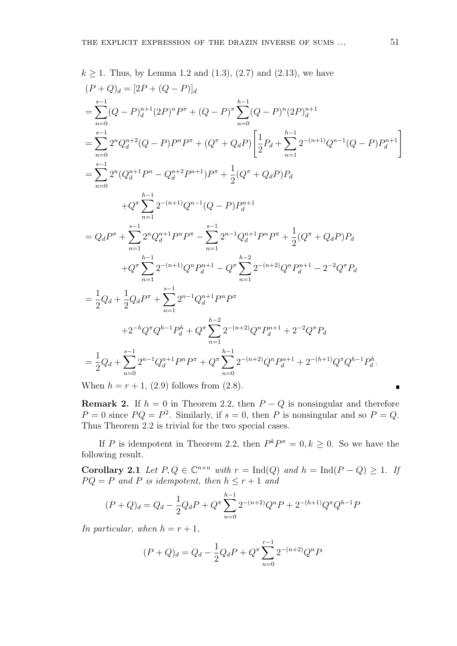$$
k \ge 1. \text{ Thus, by Lemma 1.2 and (1.3), (2.7) and (2.13), we have}
$$
\n
$$
(P+Q)d = [2P + (Q-P)]d
$$
\n
$$
= \sum_{n=0}^{s-1} (Q-P)dn+1 (2P)n P\pi + (Q-P)\pi \sum_{n=0}^{h-1} (Q-P)n (2P)dn+1
$$
\n
$$
= \sum_{n=0}^{s-1} 2^{n} Q_{d}^{n+2} (Q-P) P^{n} P^{\pi} + (Q^{\pi} + Q_{d} P) \left[ \frac{1}{2} P_{d} + \sum_{n=1}^{h-1} 2^{-(n+1)} Q^{n-1} (Q-P) P_{d}^{n+1} \right]
$$
\n
$$
= \sum_{n=0}^{s-1} 2^{n} (Q_{d}^{n+1} P^{n} - Q_{d}^{n+2} P^{n+1}) P^{\pi} + \frac{1}{2} (Q^{\pi} + Q_{d} P) P_{d}
$$
\n
$$
+ Q^{\pi} \sum_{n=1}^{h-1} 2^{-(n+1)} Q^{n-1} (Q-P) P_{d}^{n+1}
$$
\n
$$
= Q_{d} P^{\pi} + \sum_{n=1}^{s-1} 2^{n} Q_{d}^{n+1} P^{n} P^{\pi} - \sum_{n=1}^{s-1} 2^{n-1} Q_{d}^{n+1} P^{n} P^{\pi} + \frac{1}{2} (Q^{\pi} + Q_{d} P) P_{d}
$$
\n
$$
+ Q^{\pi} \sum_{n=1}^{h-1} 2^{-(n+1)} Q^{n} P_{d}^{n+1} - Q^{\pi} \sum_{n=1}^{h-2} 2^{-(n+2)} Q^{n} P_{d}^{n+1} - 2^{-2} Q^{\pi} P_{d}
$$
\n
$$
= \frac{1}{2} Q_{d} + \frac{1}{2} Q_{d} P^{\pi} + \sum_{n=1}^{s-1} 2^{n-1} Q_{d}^{n+1} P^{n} P^{\pi}
$$
\n
$$
+ 2^{-h} Q^{\pi} Q^{h-1} P_{
$$

When  $h = r + 1$ , (2.9) follows from (2.8).

**Remark 2.** If  $h = 0$  in Theorem 2.2, then  $P - Q$  is nonsingular and therefore  $P = 0$  since  $PQ = P^2$ . Similarly, if  $s = 0$ , then P is nonsingular and so  $P = Q$ . Thus Theorem 2.2 is trivial for the two special cases.

If P is idempotent in Theorem 2.2, then  $P^k P^{\pi} = 0, k \ge 0$ . So we have the following result.

Corollary 2.1 Let  $P, Q \in \mathbb{C}^{n \times n}$  with  $r = \text{Ind}(Q)$  and  $h = \text{Ind}(P - Q) \ge 1$ . If  $PQ = P$  and P is idempotent, then  $h \leq r+1$  and

$$
(P+Q)d = Qd - \frac{1}{2}QdP + Q\pi \sum_{n=0}^{h-1} 2^{-(n+2)}QnP + 2^{-(h+1)}Q\piQh-1P
$$

In particular, when  $h = r + 1$ ,

$$
(P+Q)d = Qd - \frac{1}{2}QdP + Q\pi \sum_{n=0}^{r-1} 2^{-(n+2)}QnP
$$

 $\blacksquare$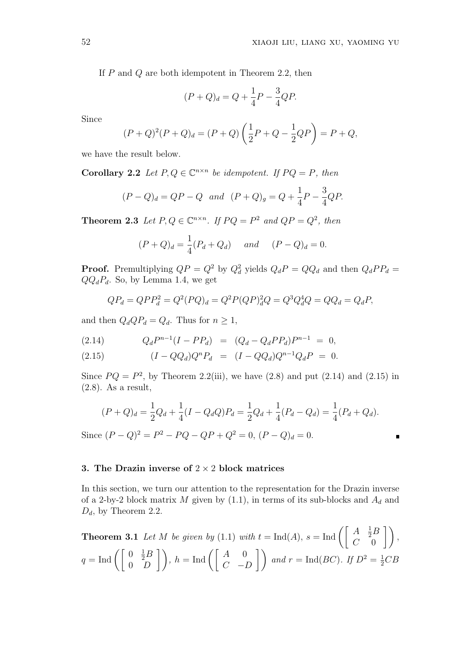If P and Q are both idempotent in Theorem 2.2, then

$$
(P + Q)d = Q + \frac{1}{4}P - \frac{3}{4}QP.
$$

Since

$$
(P+Q)^{2}(P+Q)_{d} = (P+Q)\left(\frac{1}{2}P+Q-\frac{1}{2}QP\right) = P+Q,
$$

we have the result below.

**Corollary 2.2** Let  $P, Q \in \mathbb{C}^{n \times n}$  be idempotent. If  $PQ = P$ , then

$$
(P - Q)d = QP - Q
$$
 and  $(P + Q)g = Q + \frac{1}{4}P - \frac{3}{4}QP$ .

**Theorem 2.3** Let  $P, Q \in \mathbb{C}^{n \times n}$ . If  $PQ = P^2$  and  $QP = Q^2$ , then

$$
(P+Q)d = \frac{1}{4}(Pd + Qd) \quad and \quad (P-Q)d = 0.
$$

**Proof.** Premultiplying  $QP = Q^2$  by  $Q_d^2$  yields  $Q_dP = QQ_d$  and then  $Q_dPP_d =$  $QQ_dP_d$ . So, by Lemma 1.4, we get

$$
QP_d = QPP_d^2 = Q^2(PQ)_d = Q^2P(QP)_d^2Q = Q^3Q_d^4Q = QQ_d = Q_dP,
$$

and then  $Q_dQP_d = Q_d$ . Thus for  $n \geq 1$ ,

$$
(2.14) \tQ_d P^{n-1} (I - PP_d) = (Q_d - Q_d PP_d) P^{n-1} = 0,
$$

(2.15) 
$$
(I - QQ_d)Q^nP_d = (I - QQ_d)Q^{n-1}Q_dP = 0.
$$

Since  $PQ = P^2$ , by Theorem 2.2(iii), we have (2.8) and put (2.14) and (2.15) in (2.8). As a result,

$$
(P+Q)d = \frac{1}{2}Qd + \frac{1}{4}(I - QdQ)Pd = \frac{1}{2}Qd + \frac{1}{4}(Pd - Qd) = \frac{1}{4}(Pd + Qd).
$$
  
Since  $(P-Q)^2 = P^2 - PQ - QP + Q^2 = 0$ ,  $(P-Q)d = 0$ .

#### 3. The Drazin inverse of  $2 \times 2$  block matrices

In this section, we turn our attention to the representation for the Drazin inverse of a 2-by-2 block matrix  $M$  given by (1.1), in terms of its sub-blocks and  $A_d$  and  $D_d$ , by Theorem 2.2.

**Theorem 3.1** Let M be given by (1.1) with 
$$
t = \text{Ind}(A)
$$
,  $s = \text{Ind}\left(\begin{bmatrix} A & \frac{1}{2}B \\ C & 0 \end{bmatrix}\right)$ ,  
\n $q = \text{Ind}\left(\begin{bmatrix} 0 & \frac{1}{2}B \\ 0 & D \end{bmatrix}\right)$ ,  $h = \text{Ind}\left(\begin{bmatrix} A & 0 \\ C & -D \end{bmatrix}\right)$  and  $r = \text{Ind}(BC)$ . If  $D^2 = \frac{1}{2}CB$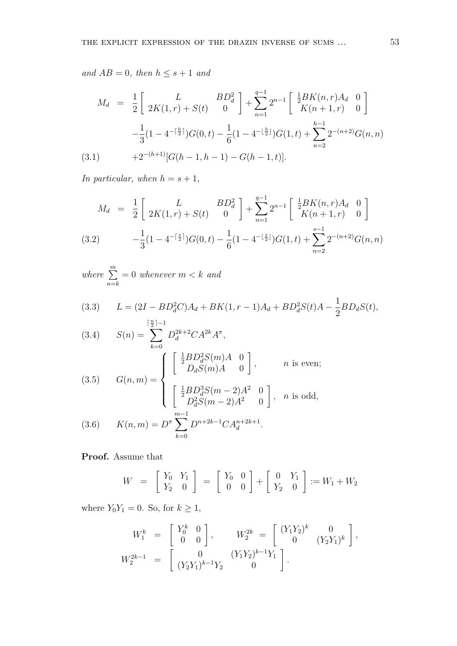and  $AB = 0$ , then  $h \leq s + 1$  and

$$
M_d = \frac{1}{2} \begin{bmatrix} L & BD_d^2 \ 2K(1,r) + S(t) & 0 \end{bmatrix} + \sum_{n=1}^{q-1} 2^{n-1} \begin{bmatrix} \frac{1}{2}BK(n,r)A_d & 0 \ K(n+1,r) & 0 \end{bmatrix}
$$

$$
-\frac{1}{3}(1 - 4^{-\lceil \frac{h}{2} \rceil})G(0,t) - \frac{1}{6}(1 - 4^{-\lfloor \frac{h}{2} \rfloor})G(1,t) + \sum_{n=2}^{h-1} 2^{-(n+2)}G(n,n)
$$
  
(3.1) 
$$
+2^{-(h+1)}[G(h-1,h-1) - G(h-1,t)].
$$

In particular, when  $h = s + 1$ ,

$$
M_d = \frac{1}{2} \begin{bmatrix} L & BD_d^2 \ 2K(1,r) + S(t) & 0 \end{bmatrix} + \sum_{n=1}^{q-1} 2^{n-1} \begin{bmatrix} \frac{1}{2}BK(n,r)A_d & 0 \ K(n+1,r) & 0 \end{bmatrix}
$$
  
(3.2) 
$$
-\frac{1}{3}(1 - 4^{-\lceil \frac{s}{2} \rceil})G(0,t) - \frac{1}{6}(1 - 4^{-\lfloor \frac{s}{2} \rfloor})G(1,t) + \sum_{n=2}^{s-1} 2^{-(n+2)}G(n,n)
$$

where  $\sum_{m=1}^{m}$  $n = k$  $= 0$  whenever  $m < k$  and

(3.3) 
$$
L = (2I - BD_d^2C)A_d + BK(1, r - 1)A_d + BD_d^2S(t)A - \frac{1}{2}BD_dS(t),
$$

(3.4) 
$$
S(n) = \sum_{k=0}^{\lceil \frac{n}{2} \rceil - 1} D_d^{2k+2} C A^{2k} A^{\pi},
$$

$$
\left( \begin{bmatrix} \frac{1}{2} B D_d^2 S(m) A & 0 \\ D_d S(m) A & 0 \end{bmatrix}, \right), \quad n \text{ is even};
$$

(3.5) 
$$
G(n, m) = \begin{cases} \frac{1}{2}BD_d^3S(m-2)A^2 & 0\\ \left[\begin{array}{c} \frac{1}{2}BD_d^3S(m-2)A^2 & 0\\ D_d^2S(m-2)A^2 & 0 \end{array}\right], & n \text{ is odd,}
$$
  
(3.6) 
$$
K(n, m) = D^{\pi} \sum_{k=0}^{m-1} D^{n+2k-1}CA_d^{n+2k+1}.
$$

Proof. Assume that

$$
W = \begin{bmatrix} Y_0 & Y_1 \\ Y_2 & 0 \end{bmatrix} = \begin{bmatrix} Y_0 & 0 \\ 0 & 0 \end{bmatrix} + \begin{bmatrix} 0 & Y_1 \\ Y_2 & 0 \end{bmatrix} := W_1 + W_2
$$

where  $Y_0Y_1 = 0$ . So, for  $k \ge 1$ ,

$$
W_1^k = \begin{bmatrix} Y_0^k & 0 \\ 0 & 0 \end{bmatrix}, \qquad W_2^{2k} = \begin{bmatrix} (Y_1 Y_2)^k & 0 \\ 0 & (Y_2 Y_1)^k \end{bmatrix},
$$
  

$$
W_2^{2k-1} = \begin{bmatrix} 0 & (Y_1 Y_2)^{k-1} Y_1 \\ (Y_2 Y_1)^{k-1} Y_2 & 0 \end{bmatrix}.
$$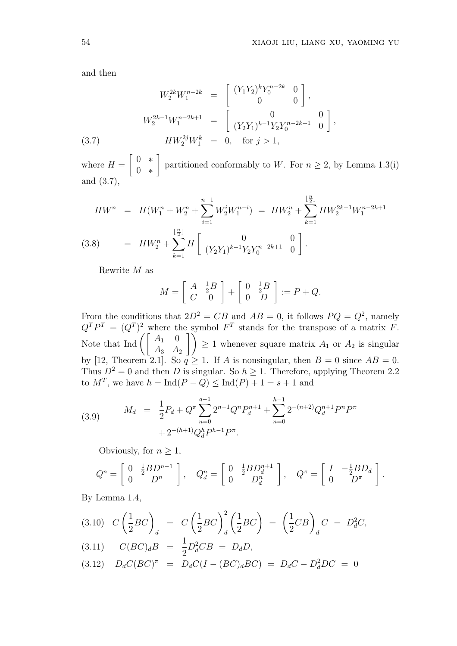and then

$$
W_2^{2k}W_1^{n-2k} = \begin{bmatrix} (Y_1Y_2)^k Y_0^{n-2k} & 0\\ 0 & 0 \end{bmatrix},
$$
  
\n
$$
W_2^{2k-1}W_1^{n-2k+1} = \begin{bmatrix} 0 & 0\\ (Y_2Y_1)^{k-1}Y_2Y_0^{n-2k+1} & 0 \end{bmatrix},
$$
  
\n(3.7) 
$$
HW_2^{2j}W_1^k = 0, \text{ for } j > 1,
$$

where  $H =$ 0 ∗ 0 ∗ partitioned conformably to W. For  $n \geq 2$ , by Lemma 1.3(i) and (3.7),

$$
HW^n = H(W_1^n + W_2^n + \sum_{i=1}^{n-1} W_2^i W_1^{n-i}) = HW_2^n + \sum_{k=1}^{\lfloor \frac{n}{2} \rfloor} HW_2^{2k-1} W_1^{n-2k+1}
$$
  
(3.8) 
$$
= HW_2^n + \sum_{k=1}^{\lfloor \frac{n}{2} \rfloor} H\left[\begin{array}{cc} 0 & 0\\ (Y_2 Y_1)^{k-1} Y_2 Y_0^{n-2k+1} & 0 \end{array}\right].
$$

Rewrite M as

$$
M = \left[ \begin{array}{cc} A & \frac{1}{2}B \\ C & 0 \end{array} \right] + \left[ \begin{array}{cc} 0 & \frac{1}{2}B \\ 0 & D \end{array} \right] := P + Q.
$$

From the conditions that  $2D^2 = CB$  and  $AB = 0$ , it follows  $PQ = Q^2$ , namely  $Q^T P^T = (Q^T)^2$  where the symbol  $F^T$  stands for the transpose of a matrix F.  $Q^2 P^2 = (Q^2)^2$  where the Note that Ind  $\begin{pmatrix} A_1 & 0 \\ A_1 & A_2 \end{pmatrix}$  $\begin{pmatrix} A_1 & 0 \\ A_3 & A_2 \end{pmatrix}$   $\geq 1$  whenever square matrix  $A_1$  or  $A_2$  is singular by [12, Theorem 2.1]. So  $q \ge 1$ . If A is nonsingular, then  $B = 0$  since  $AB = 0$ . Thus  $D^2 = 0$  and then D is singular. So  $h \geq 1$ . Therefore, applying Theorem 2.2 to  $M^T$ , we have  $h = \text{Ind}(P - Q) \leq \text{Ind}(P) + 1 = s + 1$  and

(3.9) 
$$
M_d = \frac{1}{2} P_d + Q^{\pi} \sum_{n=0}^{q-1} 2^{n-1} Q^n P_d^{n+1} + \sum_{n=0}^{h-1} 2^{-(n+2)} Q_d^{n+1} P^n P^{\pi} + 2^{-(h+1)} Q_d^h P^{h-1} P^{\pi}.
$$

Obviously, for  $n \geq 1$ ,

$$
Q^n = \begin{bmatrix} 0 & \frac{1}{2}BD^{n-1} \\ 0 & D^n \end{bmatrix}, \quad Q_d^n = \begin{bmatrix} 0 & \frac{1}{2}BD_d^{n+1} \\ 0 & D_d^n \end{bmatrix}, \quad Q^\pi = \begin{bmatrix} I & -\frac{1}{2}BD_d \\ 0 & D^\pi \end{bmatrix}.
$$

By Lemma 1.4,

$$
(3.10) \quad C\left(\frac{1}{2}BC\right)_d = C\left(\frac{1}{2}BC\right)_d^2 \left(\frac{1}{2}BC\right) = \left(\frac{1}{2}CB\right)_d C = D_d^2C,
$$
\n
$$
(3.11) \quad C(BC)_dB = \frac{1}{2}D_d^2CB = D_dD,
$$
\n
$$
(3.12) \quad D \quad C(BC)_d = D_d^2(C, C_1) = D_d^2(C, D_d^2) = D_d^2D_c^2 = D_d^2D_c^2
$$

$$
(3.12) \quad D_d C (BC)^{\pi} = D_d C (I - (BC)_d BC) = D_d C - D_d^2 DC = 0
$$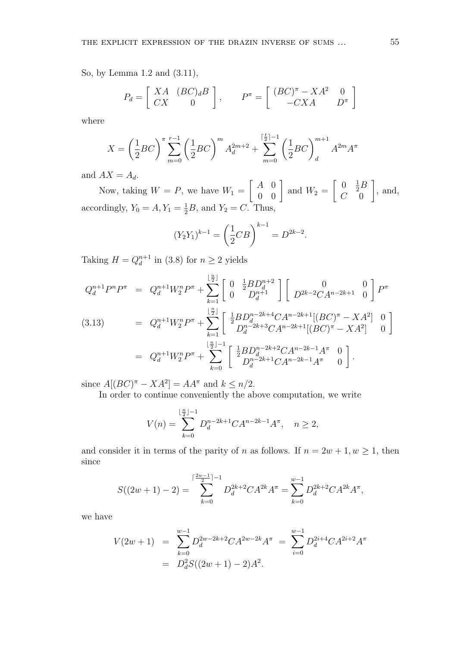So, by Lemma 1.2 and (3.11),

$$
P_d = \begin{bmatrix} XA & (BC)_d B \\ CX & 0 \end{bmatrix}, \qquad P^{\pi} = \begin{bmatrix} (BC)^{\pi} - XA^2 & 0 \\ -CXA & D^{\pi} \end{bmatrix}
$$

where

$$
X = \left(\frac{1}{2}BC\right)^{\pi} \sum_{m=0}^{r-1} \left(\frac{1}{2}BC\right)^m A_d^{2m+2} + \sum_{m=0}^{\lceil \frac{t}{2} \rceil - 1} \left(\frac{1}{2}BC\right)^{m+1}_d A^{2m} A^{\pi}
$$

and  $AX = A_d$ .

Now, taking  $W = P$ , we have  $W_1 =$ ·  $A \quad 0$  $\begin{bmatrix} A & 0 \\ 0 & 0 \end{bmatrix}$  and  $W_2 =$ ·  $0 \frac{1}{2}B$  $C = 0$  $\overline{a}$ , and, accordingly,  $Y_0 = A, Y_1 = \frac{1}{2}B$ , and  $Y_2 = C$ . Thus,

$$
(Y_2Y_1)^{k-1} = \left(\frac{1}{2}CB\right)^{k-1} = D^{2k-2}.
$$

Taking  $H = Q_d^{n+1}$  $\binom{n+1}{d}$  in (3.8) for  $n \geq 2$  yields

$$
Q_d^{n+1}P^nP^\pi = Q_d^{n+1}W_2^nP^\pi + \sum_{k=1}^{\lfloor \frac{n}{2} \rfloor} \left[ \begin{array}{cc} 0 & \frac{1}{2}BD_d^{n+2} \\ 0 & D_d^{n+1} \end{array} \right] \left[ \begin{array}{cc} 0 & 0 \\ D^{2k-2}CA^{n-2k+1} & 0 \end{array} \right] P^\pi
$$
  
\n(3.13) 
$$
= Q_d^{n+1}W_2^nP^\pi + \sum_{k=1}^{\lfloor \frac{n}{2} \rfloor} \left[ \begin{array}{cc} \frac{1}{2}BD_d^{n-2k+4}CA^{n-2k+1}[(BC)^\pi - XA^2] & 0 \\ D_d^{n-2k+3}CA^{n-2k+1}[(BC)^\pi - XA^2] & 0 \end{array} \right]
$$

$$
= Q_d^{n+1}W_2^nP^\pi + \sum_{k=0}^{\lfloor \frac{n}{2} \rfloor - 1} \left[ \begin{array}{cc} \frac{1}{2}BD_d^{n-2k+2}CA^{n-2k-1}A^\pi & 0 \\ D_d^{n-2k+1}CA^{n-2k-1}A^\pi & 0 \end{array} \right].
$$

since  $A[(BC)^{\pi} - XA^2] = AA^{\pi}$  and  $k \leq n/2$ .

In order to continue conveniently the above computation, we write

$$
V(n) = \sum_{k=0}^{\lfloor \frac{n}{2} \rfloor - 1} D_d^{n-2k+1} C A^{n-2k-1} A^{\pi}, \quad n \ge 2,
$$

and consider it in terms of the parity of n as follows. If  $n = 2w + 1, w \ge 1$ , then since

$$
S((2w+1)-2) = \sum_{k=0}^{\lceil \frac{2w-1}{2} \rceil - 1} D_d^{2k+2} C A^{2k} A^{\pi} = \sum_{k=0}^{w-1} D_d^{2k+2} C A^{2k} A^{\pi},
$$

we have

$$
V(2w+1) = \sum_{k=0}^{w-1} D_d^{2w-2k+2}CA^{2w-2k}A^{\pi} = \sum_{i=0}^{w-1} D_d^{2i+4}CA^{2i+2}A^{\pi}
$$
  
=  $D_d^2S((2w+1)-2)A^2$ .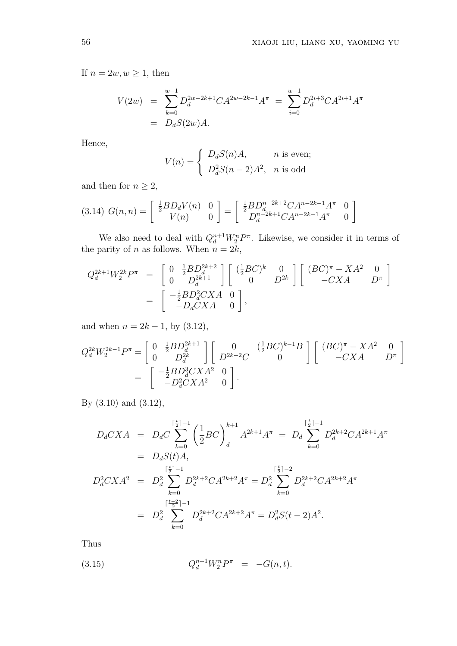If  $n = 2w, w \ge 1$ , then

$$
V(2w) = \sum_{k=0}^{w-1} D_d^{2w-2k+1} C A^{2w-2k-1} A^{\pi} = \sum_{i=0}^{w-1} D_d^{2i+3} C A^{2i+1} A^{\pi}
$$
  
=  $D_d S(2w) A$ .

Hence,

$$
V(n) = \begin{cases} D_d S(n) A, & n \text{ is even;} \\ D_d^2 S(n-2) A^2, & n \text{ is odd} \end{cases}
$$

and then for  $n \geq 2$ ,

$$
(3.14) \ G(n,n) = \begin{bmatrix} \frac{1}{2} B D_d V(n) & 0 \\ V(n) & 0 \end{bmatrix} = \begin{bmatrix} \frac{1}{2} B D_d^{n-2k+2} C A^{n-2k-1} A^{\pi} & 0 \\ D_d^{n-2k+1} C A^{n-2k-1} A^{\pi} & 0 \end{bmatrix}
$$

We also need to deal with  $Q_d^{n+1}W_2^n P^{\pi}$ . Likewise, we consider it in terms of the parity of *n* as follows. When  $n = 2k$ ,

$$
Q_d^{2k+1}W_2^{2k}P^{\pi} = \begin{bmatrix} 0 & \frac{1}{2}BD_d^{2k+2} \\ 0 & D_d^{2k+1} \end{bmatrix} \begin{bmatrix} (\frac{1}{2}BC)^k & 0 \\ 0 & D^{2k} \end{bmatrix} \begin{bmatrix} (BC)^{\pi} - XA^2 & 0 \\ -CXA & D^{\pi} \end{bmatrix}
$$
  
= 
$$
\begin{bmatrix} -\frac{1}{2}BD_d^2CXA & 0 \\ -D_dCXA & 0 \end{bmatrix},
$$

and when  $n = 2k - 1$ , by  $(3.12)$ ,

$$
Q_d^{2k} W_2^{2k-1} P^{\pi} = \begin{bmatrix} 0 & \frac{1}{2} B D_d^{2k+1} \\ 0 & D_d^{2k} \end{bmatrix} \begin{bmatrix} 0 & (\frac{1}{2} B C)^{k-1} B \\ D^{2k-2} C & 0 \end{bmatrix} \begin{bmatrix} (BC)^{\pi} - X A^2 & 0 \\ - C X A & D^{\pi} \end{bmatrix}
$$
  
= 
$$
\begin{bmatrix} -\frac{1}{2} B D_d^3 C X A^2 & 0 \\ -D_d^2 C X A^2 & 0 \end{bmatrix}.
$$

By (3.10) and (3.12),

$$
D_d C X A = D_d C \sum_{k=0}^{\lceil \frac{t}{2} \rceil - 1} \left( \frac{1}{2} B C \right)_d^{k+1} A^{2k+1} A^{\pi} = D_d \sum_{k=0}^{\lceil \frac{t}{2} \rceil - 1} D_d^{2k+2} C A^{2k+1} A^{\pi}
$$
  
\n
$$
= D_d S(t) A,
$$
  
\n
$$
D_d^2 C X A^2 = D_d^2 \sum_{k=0}^{\lceil \frac{t}{2} \rceil - 1} D_d^{2k+2} C A^{2k+2} A^{\pi} = D_d^2 \sum_{k=0}^{\lceil \frac{t}{2} \rceil - 2} D_d^{2k+2} C A^{2k+2} A^{\pi}
$$
  
\n
$$
= D_d^2 \sum_{k=0}^{\lceil \frac{t-2}{2} \rceil - 1} D_d^{2k+2} C A^{2k+2} A^{\pi} = D_d^2 S(t-2) A^2.
$$

Thus

(3.15) 
$$
Q_d^{n+1}W_2^n P^{\pi} = -G(n,t).
$$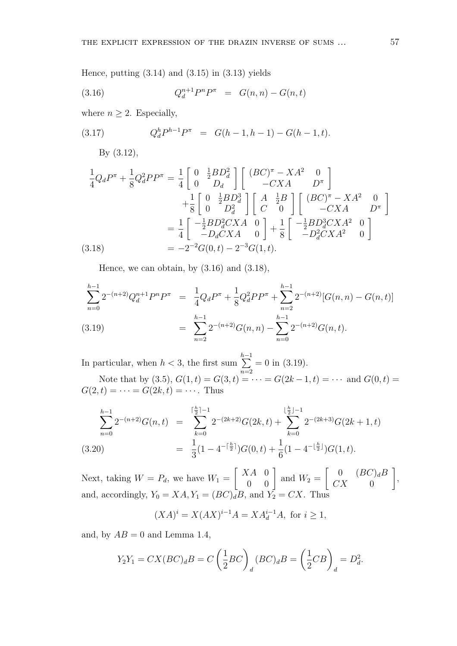Hence, putting  $(3.14)$  and  $(3.15)$  in  $(3.13)$  yields

(3.16) 
$$
Q_d^{n+1}P^nP^{\pi} = G(n,n) - G(n,t)
$$

where  $n \geq 2$ . Especially,

(3.17) 
$$
Q_d^h P^{h-1} P^{\pi} = G(h-1, h-1) - G(h-1, t).
$$

By (3.12),

$$
\frac{1}{4}Q_dP^{\pi} + \frac{1}{8}Q_d^2PP^{\pi} = \frac{1}{4}\begin{bmatrix} 0 & \frac{1}{2}BD_d^2 \\ 0 & D_d \end{bmatrix} \begin{bmatrix} (BC)^{\pi} - XA^2 & 0 \\ -CXA & D^{\pi} \end{bmatrix} + \frac{1}{8}\begin{bmatrix} 0 & \frac{1}{2}BD_d^3 \\ 0 & D_d^2 \end{bmatrix} \begin{bmatrix} A & \frac{1}{2}B \\ C & 0 \end{bmatrix} \begin{bmatrix} (BC)^{\pi} - XA^2 & 0 \\ -CXA & D^{\pi} \end{bmatrix} \\
= \frac{1}{4}\begin{bmatrix} -\frac{1}{2}BD_d^2CXA & 0 \\ -D_dCXA & 0 \end{bmatrix} + \frac{1}{8}\begin{bmatrix} -\frac{1}{2}BD_d^3CXA^2 & 0 \\ -D_d^2CXA^2 & 0 \end{bmatrix} \\
(3.18) = -2^{-2}G(0,t) - 2^{-3}G(1,t).
$$

Hence, we can obtain, by  $(3.16)$  and  $(3.18)$ ,

$$
\sum_{n=0}^{h-1} 2^{-(n+2)}Q_d^{n+1}P^nP^\pi = \frac{1}{4}Q_dP^\pi + \frac{1}{8}Q_d^2PP^\pi + \sum_{n=2}^{h-1} 2^{-(n+2)}[G(n,n) - G(n,t)]
$$
  
(3.19)
$$
= \sum_{n=2}^{h-1} 2^{-(n+2)}G(n,n) - \sum_{n=0}^{h-1} 2^{-(n+2)}G(n,t).
$$

In particular, when  $h < 3$ , the first sum  $\frac{h-1}{h}$  $n=2$  $= 0$  in  $(3.19)$ .

Note that by (3.5),  $G(1, t) = G(3, t) = \cdots = G(2k - 1, t) = \cdots$  and  $G(0, t) =$  $G(2, t) = \cdots = G(2k, t) = \cdots$ . Thus

$$
\sum_{n=0}^{h-1} 2^{-(n+2)}G(n,t) = \sum_{k=0}^{\lceil \frac{h}{2} \rceil - 1} 2^{-(2k+2)}G(2k,t) + \sum_{k=0}^{\lfloor \frac{h}{2} \rfloor - 1} 2^{-(2k+3)}G(2k+1,t)
$$
\n
$$
(3.20) = \frac{1}{3}(1 - 4^{-\lceil \frac{h}{2} \rceil})G(0,t) + \frac{1}{6}(1 - 4^{-\lfloor \frac{h}{2} \rfloor})G(1,t).
$$

Next, taking  $W = P_d$ , we have  $W_1 =$ ·  $XA$  0  $\begin{bmatrix} A & 0 \\ 0 & 0 \end{bmatrix}$  and  $W_2 =$ ·  $0 \qquad (BC)_dB$  $CX \qquad 0$  $\overline{a}$ , and, accordingly,  $Y_0 = XA, Y_1 = (BC)_dB$ , and  $Y_2 = CX$ . Thus

$$
(XA)^{i} = X(AX)^{i-1}A = XA_d^{i-1}A, \text{ for } i \ge 1,
$$

and, by  $AB = 0$  and Lemma 1.4,

$$
Y_2Y_1 = CX(BC)_dB = C\left(\frac{1}{2}BC\right)_d (BC)_dB = \left(\frac{1}{2}CB\right)_d = D_d^2.
$$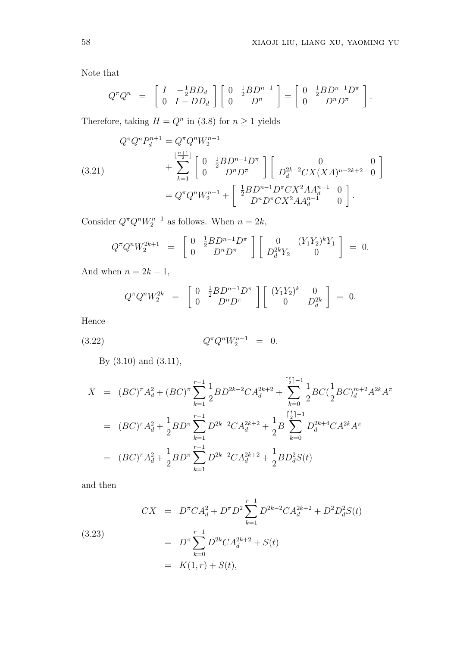Note that

$$
Q^{\pi} Q^{n} = \begin{bmatrix} I & -\frac{1}{2} B D_{d} \\ 0 & I - D D_{d} \end{bmatrix} \begin{bmatrix} 0 & \frac{1}{2} B D^{n-1} \\ 0 & D^{n} \end{bmatrix} = \begin{bmatrix} 0 & \frac{1}{2} B D^{n-1} D^{\pi} \\ 0 & D^{n} D^{\pi} \end{bmatrix}.
$$

Therefore, taking  $H = Q^n$  in (3.8) for  $n \geq 1$  yields

(3.21) 
$$
Q^{\pi}Q^{n}P_{d}^{n+1} = Q^{\pi}Q^{n}W_{2}^{n+1} + \sum_{k=1}^{\lfloor \frac{n+1}{2} \rfloor} \left[ \begin{array}{c} 0 & \frac{1}{2}BD^{n-1}D^{\pi} \\ 0 & D^{n}D^{\pi} \end{array} \right] \left[ \begin{array}{c} 0 \\ D_{d}^{2k-2}CX(XA)^{n-2k+2} & 0 \end{array} \right] = Q^{\pi}Q^{n}W_{2}^{n+1} + \left[ \begin{array}{c} \frac{1}{2}BD^{n-1}D^{\pi}CX^{2}AA_{d}^{n-1} & 0 \\ D^{n}D^{\pi}CX^{2}AA_{d}^{n-1} & 0 \end{array} \right].
$$

Consider  $Q^{\pi}Q^nW_2^{n+1}$  as follows. When  $n=2k$ ,

$$
Q^{\pi}Q^{n}W_{2}^{2k+1} = \begin{bmatrix} 0 & \frac{1}{2}BD^{n-1}D^{\pi} \\ 0 & D^{n}D^{\pi} \end{bmatrix} \begin{bmatrix} 0 & (Y_{1}Y_{2})^{k}Y_{1} \\ D_{d}^{2k}Y_{2} & 0 \end{bmatrix} = 0.
$$

And when  $n = 2k - 1$ ,

$$
Q^{\pi}Q^{n}W_{2}^{2k} = \begin{bmatrix} 0 & \frac{1}{2}BD^{n-1}D^{\pi} \\ 0 & D^{n}D^{\pi} \end{bmatrix} \begin{bmatrix} (Y_{1}Y_{2})^{k} & 0 \\ 0 & D_{d}^{2k} \end{bmatrix} = 0.
$$

Hence

(3.22) 
$$
Q^{\pi}Q^{n}W_{2}^{n+1} = 0.
$$

By (3.10) and (3.11),

$$
X = (BC)^{\pi} A_d^2 + (BC)^{\pi} \sum_{k=1}^{r-1} \frac{1}{2} BD^{2k-2}CA_d^{2k+2} + \sum_{k=0}^{\lceil \frac{t}{2} \rceil - 1} \frac{1}{2}BC(\frac{1}{2}BC)^{m+2}A^{2k}A^{\pi}
$$
  
\n
$$
= (BC)^{\pi} A_d^2 + \frac{1}{2}BD^{\pi} \sum_{k=1}^{r-1} D^{2k-2}CA_d^{2k+2} + \frac{1}{2}B \sum_{k=0}^{\lceil \frac{t}{2} \rceil - 1} D_d^{2k+4}CA^{2k}A^{\pi}
$$
  
\n
$$
= (BC)^{\pi} A_d^2 + \frac{1}{2}BD^{\pi} \sum_{k=1}^{r-1} D^{2k-2}CA_d^{2k+2} + \frac{1}{2}BD_d^2S(t)
$$

and then

(3.23)  
\n
$$
CX = D^{\pi}CA_d^2 + D^{\pi}D^2 \sum_{k=1}^{r-1} D^{2k-2}CA_d^{2k+2} + D^2D_d^2S(t)
$$
\n
$$
= D^{\pi} \sum_{k=0}^{r-1} D^{2k}CA_d^{2k+2} + S(t)
$$
\n
$$
= K(1, r) + S(t),
$$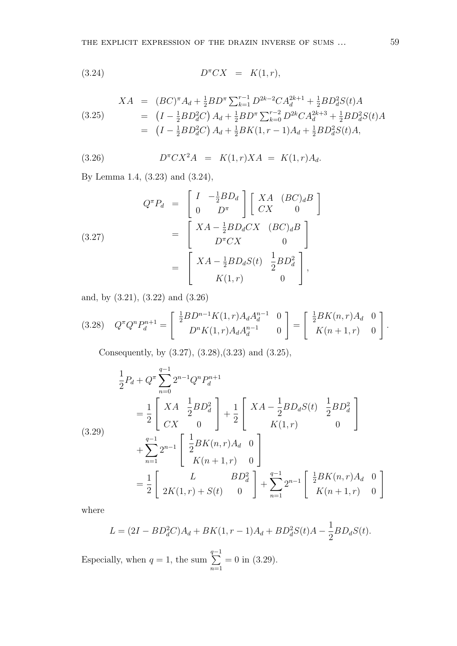$$
(3.24) \t\t D^{\pi}CX = K(1,r),
$$

$$
XA = (BC)^{\pi} A_d + \frac{1}{2} BD^{\pi} \sum_{k=1}^{r-1} D^{2k-2} CA_d^{2k+1} + \frac{1}{2} BD_d^2 S(t) A
$$
  
\n
$$
= (I - \frac{1}{2} BD_d^2 C) A_d + \frac{1}{2} BD^{\pi} \sum_{k=0}^{r-2} D^{2k} CA_d^{2k+3} + \frac{1}{2} BD_d^2 S(t) A
$$
  
\n
$$
= (I - \frac{1}{2} BD_d^2 C) A_d + \frac{1}{2} BK(1, r - 1) A_d + \frac{1}{2} BD_d^2 S(t) A,
$$

 $\overline{a}$ 

(3.26) 
$$
D^{\pi} C X^2 A = K(1, r) X A = K(1, r) A_d.
$$

By Lemma 1.4, (3.23) and (3.24),

(3.27)  
\n
$$
Q^{\pi}P_{d} = \begin{bmatrix} I & -\frac{1}{2}BD_{d} \\ 0 & D^{\pi} \end{bmatrix} \begin{bmatrix} XA & (BC)_{d}B \\ CX & 0 \end{bmatrix}
$$
\n
$$
= \begin{bmatrix} XA - \frac{1}{2}BD_{d}CX & (BC)_{d}B \\ D^{\pi}CX & 0 \end{bmatrix}
$$
\n
$$
= \begin{bmatrix} XA - \frac{1}{2}BD_{d}S(t) & \frac{1}{2}BD_{d}^{2} \\ K(1, r) & 0 \end{bmatrix},
$$

and, by (3.21), (3.22) and (3.26)

$$
(3.28) \quad Q^{\pi}Q^{n}P_{d}^{n+1} = \begin{bmatrix} \frac{1}{2}BD^{n-1}K(1,r)A_{d}A_{d}^{n-1} & 0 \\ D^{n}K(1,r)A_{d}A_{d}^{n-1} & 0 \end{bmatrix} = \begin{bmatrix} \frac{1}{2}BK(n,r)A_{d} & 0 \\ K(n+1,r) & 0 \end{bmatrix}.
$$

Consequently, by (3.27), (3.28),(3.23) and (3.25),

$$
\frac{1}{2}P_d + Q^{\pi} \sum_{n=0}^{q-1} 2^{n-1} Q^n P_d^{n+1}
$$
\n
$$
= \frac{1}{2} \begin{bmatrix} XA & \frac{1}{2}BD_d^2 \\ CX & 0 \end{bmatrix} + \frac{1}{2} \begin{bmatrix} XA - \frac{1}{2}BD_dS(t) & \frac{1}{2}BD_d^2 \\ K(1,r) & 0 \end{bmatrix}
$$
\n
$$
+ \sum_{n=1}^{q-1} 2^{n-1} \begin{bmatrix} \frac{1}{2}BK(n,r)A_d & 0 \\ K(n+1,r) & 0 \end{bmatrix}
$$
\n
$$
= \frac{1}{2} \begin{bmatrix} L & BD_d^2 \\ 2K(1,r) + S(t) & 0 \end{bmatrix} + \sum_{n=1}^{q-1} 2^{n-1} \begin{bmatrix} \frac{1}{2}BK(n,r)A_d & 0 \\ K(n+1,r) & 0 \end{bmatrix}
$$

where

$$
L = (2I - BD_d^2C)A_d + BK(1, r - 1)A_d + BD_d^2S(t)A - \frac{1}{2}BD_dS(t).
$$

Especially, when  $q = 1$ , the sum  $\frac{q-1}{q}$  $n=1$  $= 0$  in  $(3.29)$ .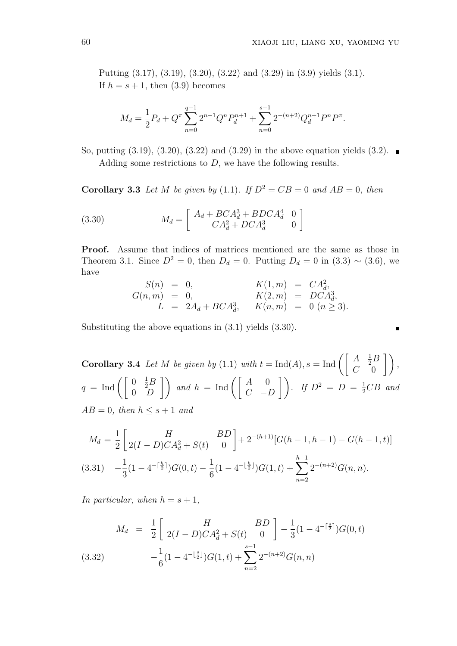$\blacksquare$ 

Putting (3.17), (3.19), (3.20), (3.22) and (3.29) in (3.9) yields (3.1). If  $h = s + 1$ , then  $(3.9)$  becomes

$$
M_d = \frac{1}{2}P_d + Q^{\pi} \sum_{n=0}^{q-1} 2^{n-1} Q^n P_d^{n+1} + \sum_{n=0}^{s-1} 2^{-(n+2)} Q_d^{n+1} P^n P^{\pi}.
$$

So, putting  $(3.19)$ ,  $(3.20)$ ,  $(3.22)$  and  $(3.29)$  in the above equation yields  $(3.2)$ . Adding some restrictions to  $D$ , we have the following results.

**Corollary 3.3** Let M be given by (1.1). If  $D^2 = CB = 0$  and  $AB = 0$ , then

(3.30) 
$$
M_d = \begin{bmatrix} A_d + BCA_d^3 + BDCA_d^4 & 0\\ CA_d^2 + DCA_d^3 & 0 \end{bmatrix}
$$

Proof. Assume that indices of matrices mentioned are the same as those in Theorem 3.1. Since  $D^2 = 0$ , then  $D_d = 0$ . Putting  $D_d = 0$  in (3.3) ~ (3.6), we have

$$
S(n) = 0, \t K(1,m) = CA_d^2,
$$
  
\n
$$
G(n,m) = 0, \t K(2,m) = DCA_d^3,
$$
  
\n
$$
L = 2A_d + BCA_d^3, \t K(n,m) = 0 \t (n \ge 3).
$$

Substituting the above equations in (3.1) yields (3.30).

**Corollary 3.4** Let M be given by (1.1) with  $t = \text{Ind}(A), s = \text{Ind} \left( \begin{bmatrix} A & B \end{bmatrix} \right)$  $\frac{1}{2}B$  $C = 0$  $\overline{a}$ ,  $q = \text{Ind} \left( \begin{bmatrix} 0 \\ 0 \end{bmatrix} \right)$  $\frac{1}{2}B$  $\begin{pmatrix} 0 & \frac{1}{2}B \\ 0 & D \end{pmatrix}$  and  $h = \text{Ind} \left( \begin{bmatrix} A & 0 \\ C & -D \end{bmatrix} \right)$ . If  $D^2 = D = \frac{1}{2}CB$  and  $\sqrt{2}$   $\sqrt{2}$   $\sqrt{2}$   $\sqrt{2}$   $\sqrt{2}$   $\sqrt{2}$   $\sqrt{2}$   $\sqrt{2}$   $\sqrt{2}$   $\sqrt{2}$   $\sqrt{2}$   $\sqrt{2}$   $\sqrt{2}$   $\sqrt{2}$   $\sqrt{2}$   $\sqrt{2}$   $\sqrt{2}$   $\sqrt{2}$   $\sqrt{2}$   $\sqrt{2}$   $\sqrt{2}$   $\sqrt{2}$   $\sqrt{2}$   $\sqrt{2}$   $\sqrt{2}$   $\sqrt{2}$   $\sqrt{2}$   $\sqrt{2$  $AB = 0$ , then  $h \leq s + 1$  and

$$
M_d = \frac{1}{2} \begin{bmatrix} H & BD \\ 2(I - D)CA_d^2 + S(t) & 0 \end{bmatrix} + 2^{-(h+1)} [G(h - 1, h - 1) - G(h - 1, t)]
$$
  
(3.31) 
$$
-\frac{1}{3} (1 - 4^{-\lceil \frac{h}{2} \rceil}) G(0, t) - \frac{1}{6} (1 - 4^{-\lfloor \frac{h}{2} \rfloor}) G(1, t) + \sum_{n=2}^{h-1} 2^{-(n+2)} G(n, n).
$$

In particular, when  $h = s + 1$ ,

$$
M_d = \frac{1}{2} \left[ \begin{array}{cc} H & BD \\ 2(I - D)CA_d^2 + S(t) & 0 \end{array} \right] - \frac{1}{3} (1 - 4^{-\lceil \frac{s}{2} \rceil}) G(0, t)
$$
  
(3.32) 
$$
-\frac{1}{6} (1 - 4^{-\lfloor \frac{s}{2} \rfloor}) G(1, t) + \sum_{n=2}^{s-1} 2^{-(n+2)} G(n, n)
$$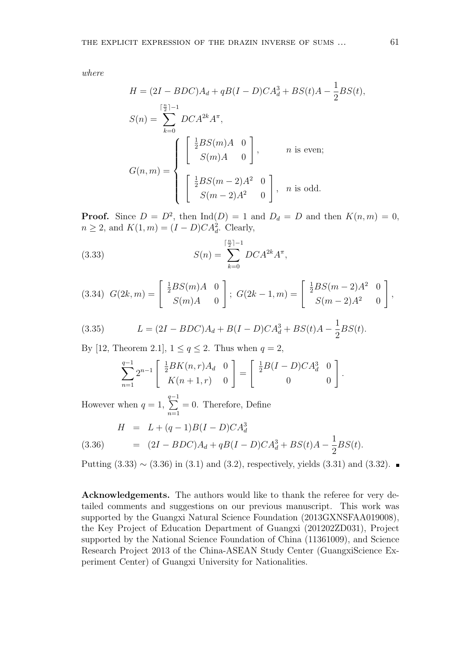where

$$
H = (2I - BDC)A_d + qB(I - D)CA_d^3 + BS(t)A - \frac{1}{2}BS(t),
$$
  
\n
$$
S(n) = \sum_{k=0}^{\lceil \frac{n}{2} \rceil - 1} DCA^{2k} A^{\pi},
$$
  
\n
$$
G(n, m) = \begin{cases} \left[ \frac{1}{2} BS(m)A & 0 \\ S(m)A & 0 \right], & n \text{ is even;} \\ \left[ \frac{1}{2} BS(m - 2)A^2 & 0 \\ S(m - 2)A^2 & 0 \right], & n \text{ is odd.} \end{cases}
$$

**Proof.** Since  $D = D^2$ , then  $\text{Ind}(D) = 1$  and  $D_d = D$  and then  $K(n, m) = 0$ ,  $n \geq 2$ , and  $K(1, m) = (I - D)CA_d^2$ . Clearly,

(3.33) 
$$
S(n) = \sum_{k=0}^{\lceil \frac{n}{2} \rceil - 1} DCA^{2k} A^{\pi},
$$

$$
(3.34) \ \ G(2k,m) = \begin{bmatrix} \frac{1}{2}BS(m)A & 0 \\ S(m)A & 0 \end{bmatrix}; \ \ G(2k-1,m) = \begin{bmatrix} \frac{1}{2}BS(m-2)A^2 & 0 \\ S(m-2)A^2 & 0 \end{bmatrix},
$$

(3.35) 
$$
L = (2I - BDC)A_d + B(I - D)CA_d^3 + BS(t)A - \frac{1}{2}BS(t).
$$

By [12, Theorem 2.1],  $1 \leq q \leq 2$ . Thus when  $q = 2$ ,

$$
\sum_{n=1}^{q-1} 2^{n-1} \begin{bmatrix} \frac{1}{2} BK(n,r) A_d & 0 \\ K(n+1,r) & 0 \end{bmatrix} = \begin{bmatrix} \frac{1}{2} B(I-D) C A_d^3 & 0 \\ 0 & 0 \end{bmatrix}
$$

.

However when  $q = 1$ ,  $\frac{q-1}{q}$  $n=1$  $= 0$ . Therefore, Define

(3.36) 
$$
H = L + (q-1)B(I - D)CA_d^3
$$

$$
= (2I - BDC)A_d + qB(I - D)CA_d^3 + BS(t)A - \frac{1}{2}BS(t).
$$

Putting (3.33)  $\sim$  (3.36) in (3.1) and (3.2), respectively, yields (3.31) and (3.32). ■

Acknowledgements. The authors would like to thank the referee for very detailed comments and suggestions on our previous manuscript. This work was supported by the Guangxi Natural Science Foundation (2013GXNSFAA019008), the Key Project of Education Department of Guangxi (201202ZD031), Project supported by the National Science Foundation of China (11361009), and Science Research Project 2013 of the China-ASEAN Study Center (GuangxiScience Experiment Center) of Guangxi University for Nationalities.